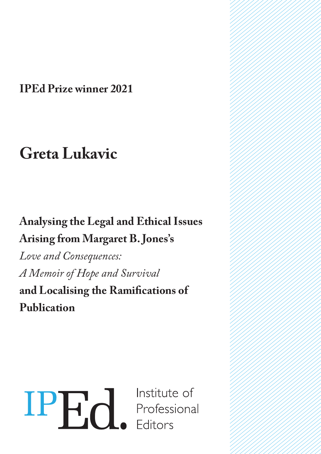**IPEd Prize winner 2021**

# **Greta Lukavic**

### **Analysing the Legal and Ethical Issues Arising from Margaret B. Jones's**

*Love and Consequences: A Memoir of Hope and Survival* **and Localising the Ramifications of Publication**

# IPH<sub>d</sub> Institute of<br>Professional<br>Editors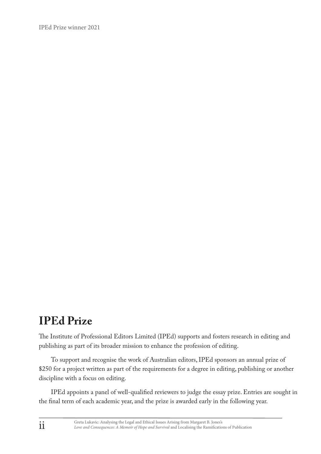IPEd Prize winner 2021

#### **IPEd Prize**

The Institute of Professional Editors Limited (IPEd) supports and fosters research in editing and publishing as part of its broader mission to enhance the profession of editing.

To support and recognise the work of Australian editors, IPEd sponsors an annual prize of \$250 for a project written as part of the requirements for a degree in editing, publishing or another discipline with a focus on editing.

IPEd appoints a panel of well-qualified reviewers to judge the essay prize. Entries are sought in the final term of each academic year, and the prize is awarded early in the following year.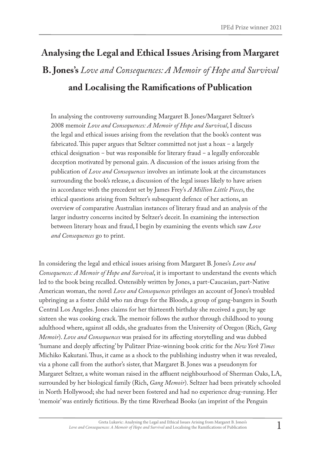## **Analysing the Legal and Ethical Issues Arising from Margaret B. Jones's** *Love and Consequences: A Memoir of Hope and Survival* **and Localising the Ramifications of Publication**

In analysing the controversy surrounding Margaret B. Jones/Margaret Seltzer's 2008 memoir *Love and Consequences: A Memoir of Hope and Survival*, I discuss the legal and ethical issues arising from the revelation that the book's content was fabricated. This paper argues that Seltzer committed not just a hoax – a largely ethical designation – but was responsible for literary fraud – a legally enforceable deception motivated by personal gain. A discussion of the issues arising from the publication of *Love and Consequences* involves an intimate look at the circumstances surrounding the book's release, a discussion of the legal issues likely to have arisen in accordance with the precedent set by James Frey's *A Million Little Pieces*, the ethical questions arising from Seltzer's subsequent defence of her actions, an overview of comparative Australian instances of literary fraud and an analysis of the larger industry concerns incited by Seltzer's deceit. In examining the intersection between literary hoax and fraud, I begin by examining the events which saw *Love and Consequences* go to print.

In considering the legal and ethical issues arising from Margaret B. Jones's *Love and Consequences: A Memoir of Hope and Survival*, it is important to understand the events which led to the book being recalled. Ostensibly written by Jones, a part-Caucasian, part-Native American woman, the novel *Love and Consequences* privileges an account of Jones's troubled upbringing as a foster child who ran drugs for the Bloods, a group of gang-bangers in South Central Los Angeles. Jones claims for her thirteenth birthday she received a gun; by age sixteen she was cooking crack. The memoir follows the author through childhood to young adulthood where, against all odds, she graduates from the University of Oregon (Rich, *Gang Memoir*). *Love and Consequences* was praised for its affecting storytelling and was dubbed 'humane and deeply affecting' by Pulitzer Prize-winning book critic for the *New York Times* Michiko Kakutani. Thus, it came as a shock to the publishing industry when it was revealed, via a phone call from the author's sister, that Margaret B. Jones was a pseudonym for Margaret Seltzer, a white woman raised in the affluent neighbourhood of Sherman Oaks, LA, surrounded by her biological family (Rich, *Gang Memoir*). Seltzer had been privately schooled in North Hollywood; she had never been fostered and had no experience drug-running. Her 'memoir' was entirely fictitious. By the time Riverhead Books (an imprint of the Penguin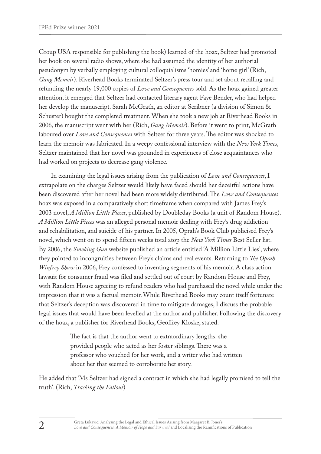Group USA responsible for publishing the book) learned of the hoax, Seltzer had promoted her book on several radio shows, where she had assumed the identity of her authorial pseudonym by verbally employing cultural colloquialisms 'homies' and 'home girl' (Rich, *Gang Memoir*). Riverhead Books terminated Seltzer's press tour and set about recalling and refunding the nearly 19,000 copies of *Love and Consequences* sold. As the hoax gained greater attention, it emerged that Seltzer had contacted literary agent Faye Bender, who had helped her develop the manuscript. Sarah McGrath, an editor at Scribner (a division of Simon & Schuster) bought the completed treatment. When she took a new job at Riverhead Books in 2006, the manuscript went with her (Rich, *Gang Memoir*). Before it went to print, McGrath laboured over *Love and Consequences* with Seltzer for three years. The editor was shocked to learn the memoir was fabricated. In a weepy confessional interview with the *New York Times*, Seltzer maintained that her novel was grounded in experiences of close acquaintances who had worked on projects to decrease gang violence.

In examining the legal issues arising from the publication of *Love and Consequences*, I extrapolate on the charges Seltzer would likely have faced should her deceitful actions have been discovered after her novel had been more widely distributed. The *Love and Consequences* hoax was exposed in a comparatively short timeframe when compared with James Frey's 2003 novel, *A Million Little Pieces*, published by Doubleday Books (a unit of Random House). *A Million Little Pieces* was an alleged personal memoir dealing with Frey's drug addiction and rehabilitation, and suicide of his partner. In 2005, Oprah's Book Club publicised Frey's novel, which went on to spend fifteen weeks total atop the *New York Times* Best Seller list. By 2006, the *Smoking Gun* website published an article entitled 'A Million Little Lies', where they pointed to incongruities between Frey's claims and real events. Returning to *The Oprah Winfrey Show* in 2006, Frey confessed to inventing segments of his memoir. A class action lawsuit for consumer fraud was filed and settled out of court by Random House and Frey, with Random House agreeing to refund readers who had purchased the novel while under the impression that it was a factual memoir. While Riverhead Books may count itself fortunate that Seltzer's deception was discovered in time to mitigate damages, I discuss the probable legal issues that would have been levelled at the author and publisher. Following the discovery of the hoax, a publisher for Riverhead Books, Geoffrey Kloske, stated:

> The fact is that the author went to extraordinary lengths: she provided people who acted as her foster siblings. There was a professor who vouched for her work, and a writer who had written about her that seemed to corroborate her story.

He added that 'Ms Seltzer had signed a contract in which she had legally promised to tell the truth'. (Rich, *Tracking the Fallout*)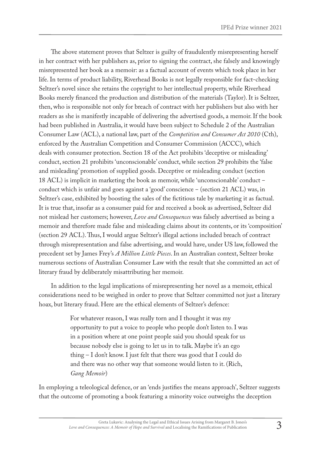The above statement proves that Seltzer is guilty of fraudulently misrepresenting herself in her contract with her publishers as, prior to signing the contract, she falsely and knowingly misrepresented her book as a memoir: as a factual account of events which took place in her life. In terms of product liability, Riverhead Books is not legally responsible for fact-checking Seltzer's novel since she retains the copyright to her intellectual property, while Riverhead Books merely financed the production and distribution of the materials (Taylor). It is Seltzer, then, who is responsible not only for breach of contract with her publishers but also with her readers as she is manifestly incapable of delivering the advertised goods, a memoir. If the book had been published in Australia, it would have been subject to Schedule 2 of the Australian Consumer Law (ACL), a national law, part of the *Competition and Consumer Act 2010* (Cth), enforced by the Australian Competition and Consumer Commission (ACCC), which deals with consumer protection. Section 18 of the Act prohibits 'deceptive or misleading' conduct, section 21 prohibits 'unconscionable' conduct, while section 29 prohibits the 'false and misleading' promotion of supplied goods. Deceptive or misleading conduct (section 18 ACL) is implicit in marketing the book as memoir, while 'unconscionable' conduct – conduct which is unfair and goes against a 'good' conscience – (section 21 ACL) was, in Seltzer's case, exhibited by boosting the sales of the fictitious tale by marketing it as factual. It is true that, insofar as a consumer paid for and received a book as advertised, Seltzer did not mislead her customers; however, *Love and Consequences* was falsely advertised as being a memoir and therefore made false and misleading claims about its contents, or its 'composition' (section 29 ACL). Thus, I would argue Seltzer's illegal actions included breach of contract through misrepresentation and false advertising, and would have, under US law, followed the precedent set by James Frey's *A Million Little Pieces*. In an Australian context, Seltzer broke numerous sections of Australian Consumer Law with the result that she committed an act of literary fraud by deliberately misattributing her memoir.

In addition to the legal implications of misrepresenting her novel as a memoir, ethical considerations need to be weighed in order to prove that Seltzer committed not just a literary hoax, but literary fraud. Here are the ethical elements of Seltzer's defence:

> For whatever reason, I was really torn and I thought it was my opportunity to put a voice to people who people don't listen to. I was in a position where at one point people said you should speak for us because nobody else is going to let us in to talk. Maybe it's an ego thing – I don't know. I just felt that there was good that I could do and there was no other way that someone would listen to it. (Rich, *Gang Memoir*)

In employing a teleological defence, or an 'ends justifies the means approach', Seltzer suggests that the outcome of promoting a book featuring a minority voice outweighs the deception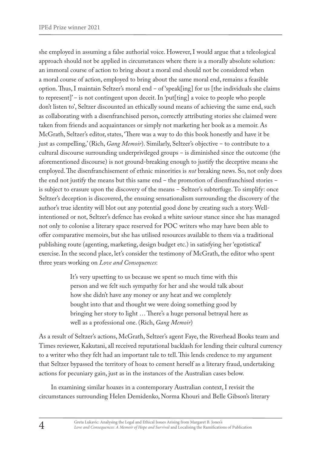she employed in assuming a false authorial voice. However, I would argue that a teleological approach should not be applied in circumstances where there is a morally absolute solution: an immoral course of action to bring about a moral end should not be considered when a moral course of action, employed to bring about the same moral end, remains a feasible option. Thus, I maintain Seltzer's moral end ‒ of 'speak[ing] for us [the individuals she claims to represent]' – is not contingent upon deceit. In 'put[ting] a voice to people who people don't listen to', Seltzer discounted an ethically sound means of achieving the same end, such as collaborating with a disenfranchised person, correctly attributing stories she claimed were taken from friends and acquaintances or simply not marketing her book as a memoir. As McGrath, Seltzer's editor, states, 'There was a way to do this book honestly and have it be just as compelling,' (Rich, *Gang Memoir*). Similarly, Seltzer's objective – to contribute to a cultural discourse surrounding underprivileged groups - is diminished since the outcome (the aforementioned discourse) is not ground-breaking enough to justify the deceptive means she employed. The disenfranchisement of ethnic minorities is *not* breaking news. So, not only does the end not justify the means but this same end – the promotion of disenfranchised stories – is subject to erasure upon the discovery of the means – Seltzer's subterfuge. To simplify: once Seltzer's deception is discovered, the ensuing sensationalism surrounding the discovery of the author's true identity will blot out any potential good done by creating such a story. Wellintentioned or not, Seltzer's defence has evoked a white saviour stance since she has managed not only to colonise a literary space reserved for POC writers who may have been able to offer comparative memoirs, but she has utilised resources available to them via a traditional publishing route (agenting, marketing, design budget etc.) in satisfying her 'egotistical' exercise. In the second place, let's consider the testimony of McGrath, the editor who spent three years working on *Love and Consequences*:

> It's very upsetting to us because we spent so much time with this person and we felt such sympathy for her and she would talk about how she didn't have any money or any heat and we completely bought into that and thought we were doing something good by bringing her story to light … There's a huge personal betrayal here as well as a professional one. (Rich, *Gang Memoir*)

As a result of Seltzer's actions, McGrath, Seltzer's agent Faye, the Riverhead Books team and Times reviewer, Kakutani, all received reputational backlash for lending their cultural currency to a writer who they felt had an important tale to tell. This lends credence to my argument that Seltzer bypassed the territory of hoax to cement herself as a literary fraud, undertaking actions for pecuniary gain, just as in the instances of the Australian cases below.

In examining similar hoaxes in a contemporary Australian context, I revisit the circumstances surrounding Helen Demidenko, Norma Khouri and Belle Gibson's literary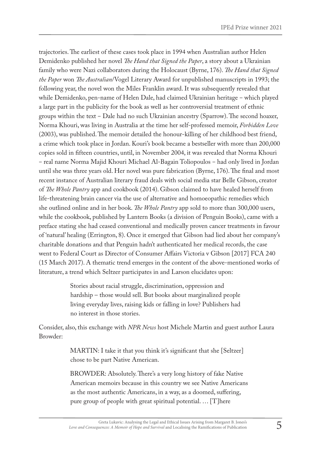trajectories. The earliest of these cases took place in 1994 when Australian author Helen Demidenko published her novel *The Hand that Signed the Paper*, a story about a Ukrainian family who were Nazi collaborators during the Holocaust (Byrne, 176). *The Hand that Signed the Paper* won *The Australian*/Vogel Literary Award for unpublished manuscripts in 1993; the following year, the novel won the Miles Franklin award. It was subsequently revealed that while Demidenko, pen-name of Helen Dale, had claimed Ukrainian heritage - which played a large part in the publicity for the book as well as her controversial treatment of ethnic groups within the text ‒ Dale had no such Ukrainian ancestry (Sparrow). The second hoaxer, Norma Khouri, was living in Australia at the time her self-professed memoir, *Forbidden Love* (2003), was published. The memoir detailed the honour-killing of her childhood best friend, a crime which took place in Jordan. Kouri's book became a bestseller with more than 200,000 copies sold in fifteen countries, until, in November 2004, it was revealed that Norma Khouri – real name Norma Majid Khouri Michael Al-Bagain Toliopoulos – had only lived in Jordan until she was three years old. Her novel was pure fabrication (Byrne, 176). The final and most recent instance of Australian literary fraud deals with social media star Belle Gibson, creator of *The Whole Pantry* app and cookbook (2014). Gibson claimed to have healed herself from life-threatening brain cancer via the use of alternative and homoeopathic remedies which she outlined online and in her book. *The Whole Pantry* app sold to more than 300,000 users, while the cookbook, published by Lantern Books (a division of Penguin Books), came with a preface stating she had ceased conventional and medically proven cancer treatments in favour of 'natural' healing (Errington, 8). Once it emerged that Gibson had lied about her company's charitable donations and that Penguin hadn't authenticated her medical records, the case went to Federal Court as Director of Consumer Affairs Victoria v Gibson [2017] FCA 240 (15 March 2017). A thematic trend emerges in the content of the above-mentioned works of literature, a trend which Seltzer participates in and Larson elucidates upon:

> Stories about racial struggle, discrimination, oppression and hardship – those would sell. But books about marginalized people living everyday lives, raising kids or falling in love? Publishers had no interest in those stories.

Consider, also, this exchange with *NPR News* host Michele Martin and guest author Laura Browder:

> MARTIN: I take it that you think it's significant that she [Seltzer] chose to be part Native American.

BROWDER: Absolutely. There's a very long history of fake Native American memoirs because in this country we see Native Americans as the most authentic Americans, in a way, as a doomed, suffering, pure group of people with great spiritual potential. … [T]here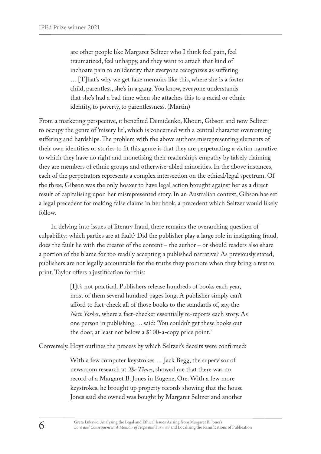are other people like Margaret Seltzer who I think feel pain, feel traumatized, feel unhappy, and they want to attach that kind of inchoate pain to an identity that everyone recognizes as suffering … [T]hat's why we get fake memoirs like this, where she is a foster child, parentless, she's in a gang. You know, everyone understands that she's had a bad time when she attaches this to a racial or ethnic identity, to poverty, to parentlessness. (Martin)

From a marketing perspective, it benefited Demidenko, Khouri, Gibson and now Seltzer to occupy the genre of 'misery lit', which is concerned with a central character overcoming suffering and hardships. The problem with the above authors misrepresenting elements of their own identities or stories to fit this genre is that they are perpetuating a victim narrative to which they have no right and monetising their readership's empathy by falsely claiming they are members of ethnic groups and otherwise-abled minorities. In the above instances, each of the perpetrators represents a complex intersection on the ethical/legal spectrum. Of the three, Gibson was the only hoaxer to have legal action brought against her as a direct result of capitalising upon her misrepresented story. In an Australian context, Gibson has set a legal precedent for making false claims in her book, a precedent which Seltzer would likely follow.

In delving into issues of literary fraud, there remains the overarching question of culpability: which parties are at fault? Did the publisher play a large role in instigating fraud, does the fault lie with the creator of the content – the author – or should readers also share a portion of the blame for too readily accepting a published narrative? As previously stated, publishers are not legally accountable for the truths they promote when they bring a text to print. Taylor offers a justification for this:

> [I]t's not practical. Publishers release hundreds of books each year, most of them several hundred pages long. A publisher simply can't afford to fact-check all of those books to the standards of, say, the *New Yorker*, where a fact-checker essentially re-reports each story. As one person in publishing … said: 'You couldn't get these books out the door, at least not below a \$100-a-copy price point.'

Conversely, Hoyt outlines the process by which Seltzer's deceits were confirmed:

With a few computer keystrokes … Jack Begg, the supervisor of newsroom research at *The Times*, showed me that there was no record of a Margaret B. Jones in Eugene, Ore. With a few more keystrokes, he brought up property records showing that the house Jones said she owned was bought by Margaret Seltzer and another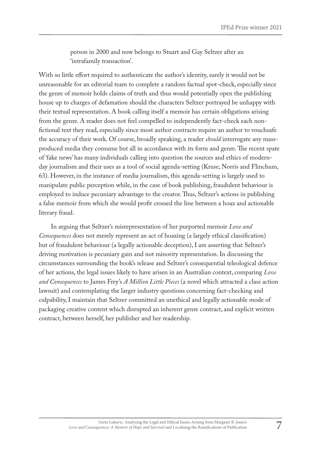person in 2000 and now belongs to Stuart and Gay Seltzer after an 'intrafamily transaction'.

With so little effort required to authenticate the author's identity, surely it would not be unreasonable for an editorial team to complete a random factual spot-check, especially since the genre of memoir holds claims of truth and thus would potentially open the publishing house up to charges of defamation should the characters Seltzer portrayed be unhappy with their textual representation. A book calling itself a memoir has certain obligations arising from the genre. A reader does not feel compelled to independently fact-check each nonfictional text they read, especially since most author contracts require an author to vouchsafe the accuracy of their work. Of course, broadly speaking, a reader *should* interrogate any massproduced media they consume but all in accordance with its form and genre. The recent spate of 'fake news' has many individuals calling into question the sources and ethics of modernday journalism and their uses as a tool of social agenda-setting (Kruse, Norris and Flinchum, 63). However, in the instance of media journalism, this agenda-setting is largely used to manipulate public perception while, in the case of book publishing, fraudulent behaviour is employed to induce pecuniary advantage to the creator. Thus, Seltzer's actions in publishing a false memoir from which she would profit crossed the line between a hoax and actionable literary fraud.

In arguing that Seltzer's misrepresentation of her purported memoir *Love and Consequences* does not merely represent an act of hoaxing (a largely ethical classification) but of fraudulent behaviour (a legally actionable deception), I am asserting that Seltzer's driving motivation is pecuniary gain and not minority representation. In discussing the circumstances surrounding the book's release and Seltzer's consequential teleological defence of her actions, the legal issues likely to have arisen in an Australian context, comparing *Love and Consequences* to James Frey's *A Million Little Pieces* (a novel which attracted a class action lawsuit) and contemplating the larger industry questions concerning fact-checking and culpability, I maintain that Seltzer committed an unethical and legally actionable mode of packaging creative content which disrupted an inherent genre contract, and explicit written contract, between herself, her publisher and her readership.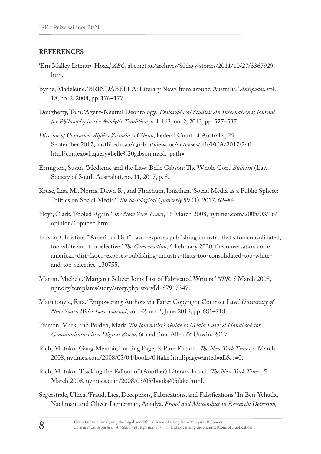#### **REFERENCES**

- 'Ern Malley Literary Hoax,' *ABC*, abc.net.au/archives/80days/stories/2011/10/27/3367929. htm.
- Byrne, Madeleine. 'BRINDABELLA: Literary News from around Australia.' *Antipodes*, vol. 18, no. 2, 2004, pp. 176–177.
- Dougherty, Tom. 'Agent-Neutral Deontology.' *Philosophical Studies: An International Journal for Philosophy in the Analytic Tradition*, vol. 163, no. 2, 2013, pp. 527–537.
- *Director of Consumer Affairs Victoria v Gibson*, Federal Court of Australia, 25 September 2017, austlii.edu.au/cgi-bin/viewdoc/au/cases/cth/FCA/2017/240. html?context=1;query=belle%20gibson;mask\_path=.
- Errington, Susan. 'Medicine and the Law: Belle Gibson: The Whole Con.' *Bulletin* (Law Society of South Australia), no. 11, 2017, p. 8.
- Kruse, Lisa M., Norris, Dawn R., and Flinchum, Jonathan. 'Social Media as a Public Sphere: Politics on Social Media?' *The Sociological Quarterly* 59 (1), 2017, 62–84.
- Hoyt, Clark. 'Fooled Again,' *The New York Times*, 16 March 2008, nytimes.com/2008/03/16/ opinion/16pubed.html.
- Larson, Christine. '"American Dirt" fiasco exposes publishing industry that's too consolidated, too white and too selective.' *The Conversation*, 6 February 2020, theconversation.com/ american-dirt-fiasco-exposes-publishing-industry-thats-too-consolidated-too-whiteand-too-selective-130755.
- Martin, Michele. 'Margaret Seltzer Joins List of Fabricated Writers.' *NPR*, 5 March 2008, npr.org/templates/story/story.php?storyId=87917347.
- Matulionyte, Rita. 'Empowering Authors via Fairer Copyright Contract Law.' *University of New South Wales Law Journal*, vol. 42, no. 2, June 2019, pp. 681–718.
- Pearson, Mark, and Polden, Mark. *The Journalist's Guide to Media Law: A Handbook for Communicators in a Digital World*, 6th edition. Allen & Unwin, 2019.
- Rich, Motoko. 'Gang Memoir, Turning Page, Is Pure Fiction.' *The New York Times*, 4 March 2008, nytimes.com/2008/03/04/books/04fake.html?pagewanted=all& r=0.
- Rich, Motoko. 'Tracking the Fallout of (Another) Literary Fraud.' *The New York Times*, 5 March 2008, nytimes.com/2008/03/05/books/05fake.html.
- Segerstrale, Ullica. 'Fraud, Lies, Deceptions, Fabrications, and Falsifications.' In Ben-Yehuda, Nachman, and Oliver-Lumerman, Amalya. *Fraud and Misconduct in Research: Detection,*